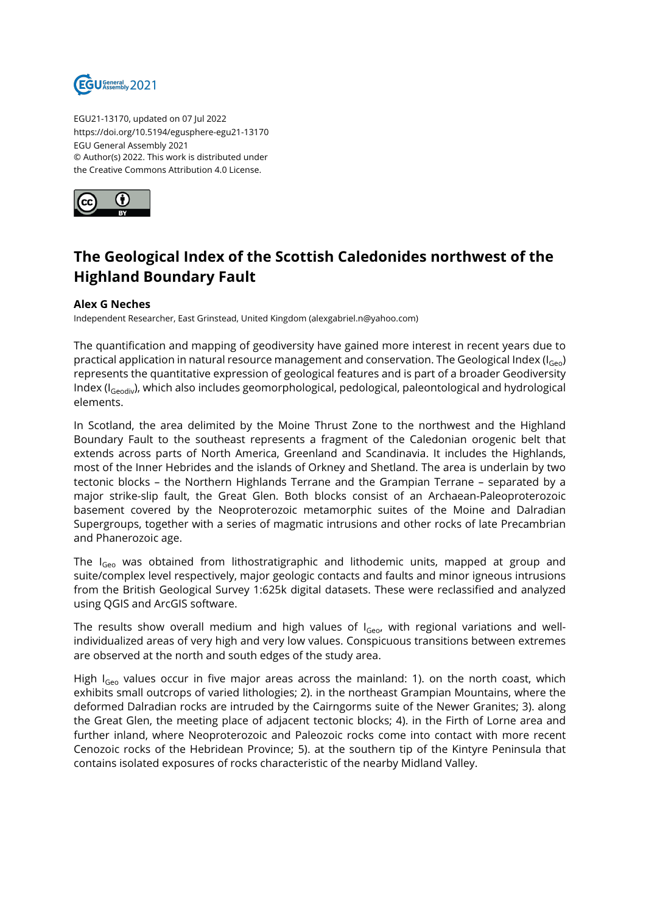

EGU21-13170, updated on 07 Jul 2022 https://doi.org/10.5194/egusphere-egu21-13170 EGU General Assembly 2021 © Author(s) 2022. This work is distributed under the Creative Commons Attribution 4.0 License.



## **The Geological Index of the Scottish Caledonides northwest of the Highland Boundary Fault**

## **Alex G Neches**

Independent Researcher, East Grinstead, United Kingdom (alexgabriel.n@yahoo.com)

The quantification and mapping of geodiversity have gained more interest in recent years due to practical application in natural resource management and conservation. The Geological Index ( $I_{\text{Geo}}$ ) represents the quantitative expression of geological features and is part of a broader Geodiversity Index (I<sub>Geodiv</sub>), which also includes geomorphological, pedological, paleontological and hydrological elements.

In Scotland, the area delimited by the Moine Thrust Zone to the northwest and the Highland Boundary Fault to the southeast represents a fragment of the Caledonian orogenic belt that extends across parts of North America, Greenland and Scandinavia. It includes the Highlands, most of the Inner Hebrides and the islands of Orkney and Shetland. The area is underlain by two tectonic blocks – the Northern Highlands Terrane and the Grampian Terrane – separated by a major strike-slip fault, the Great Glen. Both blocks consist of an Archaean-Paleoproterozoic basement covered by the Neoproterozoic metamorphic suites of the Moine and Dalradian Supergroups, together with a series of magmatic intrusions and other rocks of late Precambrian and Phanerozoic age.

The I<sub>Geo</sub> was obtained from lithostratigraphic and lithodemic units, mapped at group and suite/complex level respectively, major geologic contacts and faults and minor igneous intrusions from the British Geological Survey 1:625k digital datasets. These were reclassified and analyzed using QGIS and ArcGIS software.

The results show overall medium and high values of  $I<sub>Geo</sub>$ , with regional variations and wellindividualized areas of very high and very low values. Conspicuous transitions between extremes are observed at the north and south edges of the study area.

High  $I_{Geo}$  values occur in five major areas across the mainland: 1). on the north coast, which exhibits small outcrops of varied lithologies; 2). in the northeast Grampian Mountains, where the deformed Dalradian rocks are intruded by the Cairngorms suite of the Newer Granites; 3). along the Great Glen, the meeting place of adjacent tectonic blocks; 4). in the Firth of Lorne area and further inland, where Neoproterozoic and Paleozoic rocks come into contact with more recent Cenozoic rocks of the Hebridean Province; 5). at the southern tip of the Kintyre Peninsula that contains isolated exposures of rocks characteristic of the nearby Midland Valley.